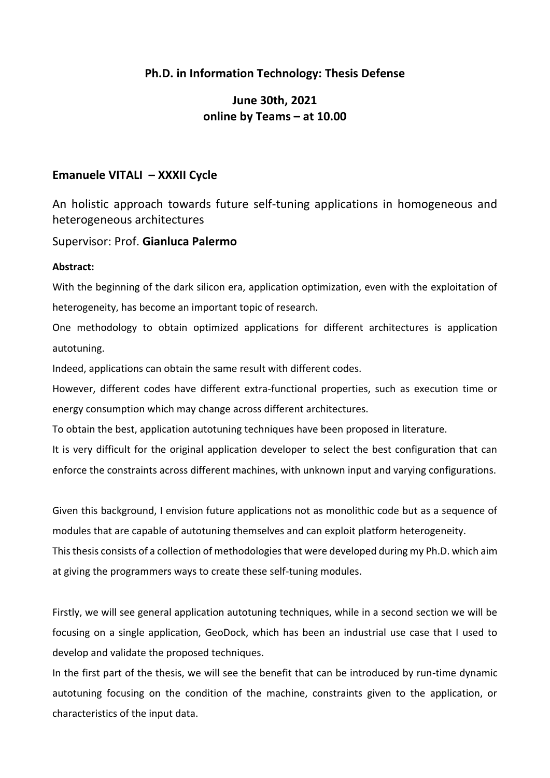## **Ph.D. in Information Technology: Thesis Defense**

# **June 30th, 2021 online by Teams – at 10.00**

### **Emanuele VITALI – XXXII Cycle**

An holistic approach towards future self-tuning applications in homogeneous and heterogeneous architectures

#### Supervisor: Prof. **Gianluca Palermo**

#### **Abstract:**

With the beginning of the dark silicon era, application optimization, even with the exploitation of heterogeneity, has become an important topic of research.

One methodology to obtain optimized applications for different architectures is application autotuning.

Indeed, applications can obtain the same result with different codes.

However, different codes have different extra-functional properties, such as execution time or energy consumption which may change across different architectures.

To obtain the best, application autotuning techniques have been proposed in literature.

It is very difficult for the original application developer to select the best configuration that can enforce the constraints across different machines, with unknown input and varying configurations.

Given this background, I envision future applications not as monolithic code but as a sequence of modules that are capable of autotuning themselves and can exploit platform heterogeneity.

This thesis consists of a collection of methodologies that were developed during my Ph.D. which aim at giving the programmers ways to create these self-tuning modules.

Firstly, we will see general application autotuning techniques, while in a second section we will be focusing on a single application, GeoDock, which has been an industrial use case that I used to develop and validate the proposed techniques.

In the first part of the thesis, we will see the benefit that can be introduced by run-time dynamic autotuning focusing on the condition of the machine, constraints given to the application, or characteristics of the input data.